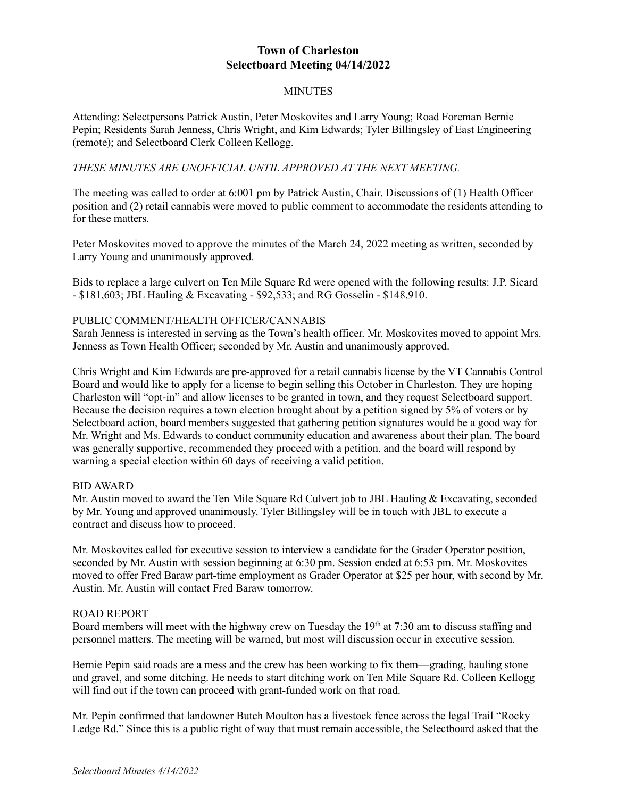# **Town of Charleston Selectboard Meeting 04/14/2022**

### **MINUTES**

Attending: Selectpersons Patrick Austin, Peter Moskovites and Larry Young; Road Foreman Bernie Pepin; Residents Sarah Jenness, Chris Wright, and Kim Edwards; Tyler Billingsley of East Engineering (remote); and Selectboard Clerk Colleen Kellogg.

## *THESE MINUTES ARE UNOFFICIAL UNTIL APPROVED AT THE NEXT MEETING.*

The meeting was called to order at 6:001 pm by Patrick Austin, Chair. Discussions of (1) Health Officer position and (2) retail cannabis were moved to public comment to accommodate the residents attending to for these matters.

Peter Moskovites moved to approve the minutes of the March 24, 2022 meeting as written, seconded by Larry Young and unanimously approved.

Bids to replace a large culvert on Ten Mile Square Rd were opened with the following results: J.P. Sicard - \$181,603; JBL Hauling & Excavating - \$92,533; and RG Gosselin - \$148,910.

### PUBLIC COMMENT/HEALTH OFFICER/CANNABIS

Sarah Jenness is interested in serving as the Town's health officer. Mr. Moskovites moved to appoint Mrs. Jenness as Town Health Officer; seconded by Mr. Austin and unanimously approved.

Chris Wright and Kim Edwards are pre-approved for a retail cannabis license by the VT Cannabis Control Board and would like to apply for a license to begin selling this October in Charleston. They are hoping Charleston will "opt-in" and allow licenses to be granted in town, and they request Selectboard support. Because the decision requires a town election brought about by a petition signed by 5% of voters or by Selectboard action, board members suggested that gathering petition signatures would be a good way for Mr. Wright and Ms. Edwards to conduct community education and awareness about their plan. The board was generally supportive, recommended they proceed with a petition, and the board will respond by warning a special election within 60 days of receiving a valid petition.

### BID AWARD

Mr. Austin moved to award the Ten Mile Square Rd Culvert job to JBL Hauling & Excavating, seconded by Mr. Young and approved unanimously. Tyler Billingsley will be in touch with JBL to execute a contract and discuss how to proceed.

Mr. Moskovites called for executive session to interview a candidate for the Grader Operator position, seconded by Mr. Austin with session beginning at 6:30 pm. Session ended at 6:53 pm. Mr. Moskovites moved to offer Fred Baraw part-time employment as Grader Operator at \$25 per hour, with second by Mr. Austin. Mr. Austin will contact Fred Baraw tomorrow.

### ROAD REPORT

Board members will meet with the highway crew on Tuesday the 19<sup>th</sup> at 7:30 am to discuss staffing and personnel matters. The meeting will be warned, but most will discussion occur in executive session.

Bernie Pepin said roads are a mess and the crew has been working to fix them—grading, hauling stone and gravel, and some ditching. He needs to start ditching work on Ten Mile Square Rd. Colleen Kellogg will find out if the town can proceed with grant-funded work on that road.

Mr. Pepin confirmed that landowner Butch Moulton has a livestock fence across the legal Trail "Rocky Ledge Rd." Since this is a public right of way that must remain accessible, the Selectboard asked that the